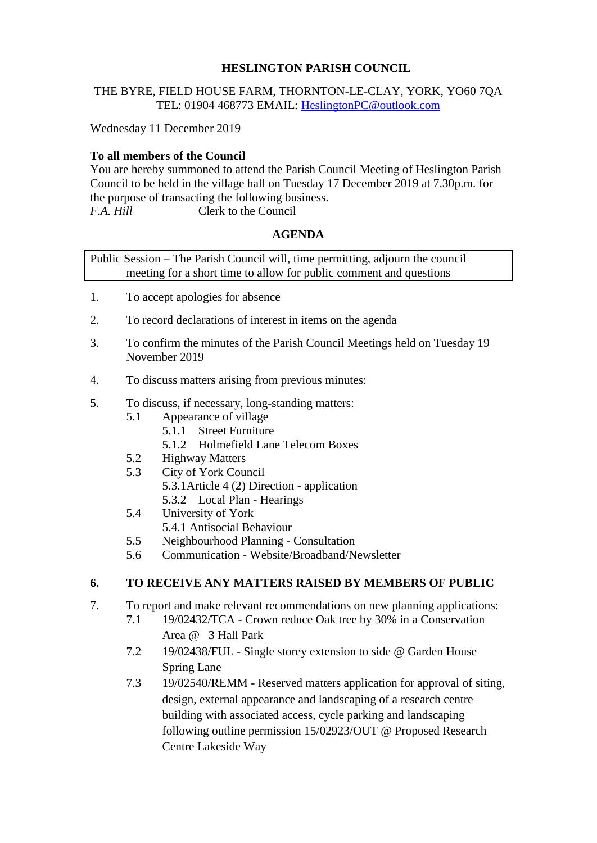### **HESLINGTON PARISH COUNCIL**

#### THE BYRE, FIELD HOUSE FARM, THORNTON-LE-CLAY, YORK, YO60 7QA TEL: 01904 468773 EMAIL: [HeslingtonPC@outlook.com](mailto:HeslingtonPC@outlook.com)

Wednesday 11 December 2019

# **To all members of the Council**

You are hereby summoned to attend the Parish Council Meeting of Heslington Parish Council to be held in the village hall on Tuesday 17 December 2019 at 7.30p.m. for the purpose of transacting the following business. *F.A. Hill* Clerk to the Council

#### **AGENDA**

Public Session – The Parish Council will, time permitting, adjourn the council meeting for a short time to allow for public comment and questions

- 1. To accept apologies for absence
- 2. To record declarations of interest in items on the agenda
- 3. To confirm the minutes of the Parish Council Meetings held on Tuesday 19 November 2019
- 4. To discuss matters arising from previous minutes:
- 5. To discuss, if necessary, long-standing matters:
	- 5.1 Appearance of village
		- 5.1.1 Street Furniture
		- 5.1.2 Holmefield Lane Telecom Boxes
	- 5.2 Highway Matters
	- 5.3 City of York Council 5.3.1Article 4 (2) Direction - application 5.3.2 Local Plan - Hearings
	- 5.4 University of York
		- 5.4.1 Antisocial Behaviour
	- 5.5 Neighbourhood Planning Consultation
	- 5.6 Communication Website/Broadband/Newsletter

### **6. TO RECEIVE ANY MATTERS RAISED BY MEMBERS OF PUBLIC**

- 7. To report and make relevant recommendations on new planning applications:
	- 7.1 19/02432/TCA Crown reduce Oak tree by 30% in a Conservation Area @ 3 Hall Park
	- 7.2 19/02438/FUL Single storey extension to side @ Garden House Spring Lane
	- 7.3 19/02540/REMM Reserved matters application for approval of siting, design, external appearance and landscaping of a research centre building with associated access, cycle parking and landscaping following outline permission 15/02923/OUT @ Proposed Research Centre Lakeside Way